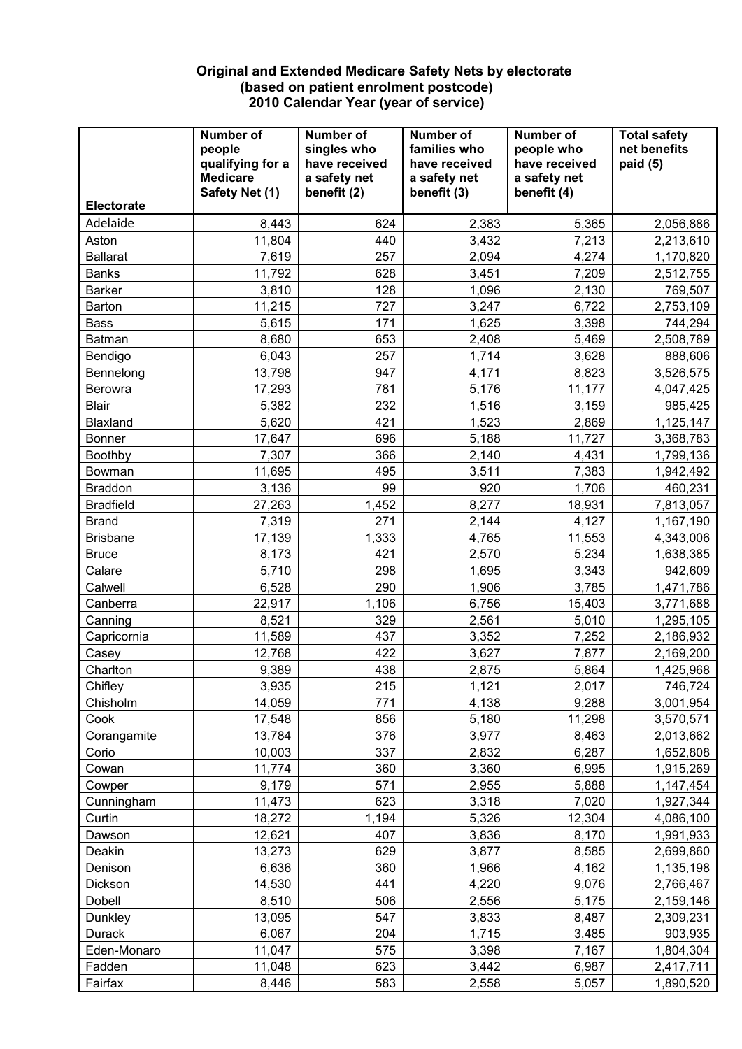## **Original and Extended Medicare Safety Nets by electorate (based on patient enrolment postcode) 2010 Calendar Year (year of service)**

|                   | <b>Number of</b><br>people<br>qualifying for a<br><b>Medicare</b><br>Safety Net (1) | <b>Number of</b><br>singles who<br>have received<br>a safety net<br>benefit (2) | Number of<br>families who<br>have received<br>a safety net<br>benefit (3) | Number of<br>people who<br>have received<br>a safety net<br>benefit (4) | <b>Total safety</b><br>net benefits<br>paid (5) |
|-------------------|-------------------------------------------------------------------------------------|---------------------------------------------------------------------------------|---------------------------------------------------------------------------|-------------------------------------------------------------------------|-------------------------------------------------|
| <b>Electorate</b> |                                                                                     |                                                                                 |                                                                           |                                                                         |                                                 |
| Adelaide          | 8,443                                                                               | 624                                                                             | 2,383                                                                     | 5,365                                                                   | 2,056,886                                       |
| Aston             | 11,804                                                                              | 440                                                                             | 3,432                                                                     | 7,213                                                                   | 2,213,610                                       |
| <b>Ballarat</b>   | 7,619                                                                               | 257                                                                             | 2,094                                                                     | 4,274                                                                   | 1,170,820                                       |
| <b>Banks</b>      | 11,792                                                                              | 628                                                                             | 3,451                                                                     | 7,209                                                                   | 2,512,755                                       |
| <b>Barker</b>     | 3,810                                                                               | 128                                                                             | 1,096                                                                     | 2,130                                                                   | 769,507                                         |
| Barton            | 11,215                                                                              | 727                                                                             | 3,247                                                                     | 6,722                                                                   | 2,753,109                                       |
| <b>Bass</b>       | 5,615                                                                               | 171                                                                             | 1,625                                                                     | 3,398                                                                   | 744,294                                         |
| Batman            | 8,680                                                                               | 653                                                                             | 2,408                                                                     | 5,469                                                                   | 2,508,789                                       |
| Bendigo           | 6,043                                                                               | 257                                                                             | 1,714                                                                     | 3,628                                                                   | 888,606                                         |
| Bennelong         | 13,798                                                                              | 947                                                                             | 4,171                                                                     | 8,823                                                                   | 3,526,575                                       |
| <b>Berowra</b>    | 17,293                                                                              | 781                                                                             | 5,176                                                                     | 11,177                                                                  | 4,047,425                                       |
| <b>Blair</b>      | 5,382                                                                               | 232                                                                             | 1,516                                                                     | 3,159                                                                   | 985,425                                         |
| Blaxland          | 5,620                                                                               | 421                                                                             | 1,523                                                                     | 2,869                                                                   | 1,125,147                                       |
| <b>Bonner</b>     | 17,647                                                                              | 696                                                                             | 5,188                                                                     | 11,727                                                                  | 3,368,783                                       |
| Boothby           | 7,307                                                                               | 366                                                                             | 2,140                                                                     | 4,431                                                                   | 1,799,136                                       |
| Bowman            | 11,695                                                                              | 495                                                                             | 3,511                                                                     | 7,383                                                                   | 1,942,492                                       |
| <b>Braddon</b>    | 3,136                                                                               | 99                                                                              | 920                                                                       | 1,706                                                                   | 460,231                                         |
| <b>Bradfield</b>  | 27,263                                                                              | 1,452                                                                           | 8,277                                                                     | 18,931                                                                  | 7,813,057                                       |
| <b>Brand</b>      | 7,319                                                                               | 271                                                                             | 2,144                                                                     | 4,127                                                                   | 1,167,190                                       |
| <b>Brisbane</b>   | 17,139                                                                              | 1,333                                                                           | 4,765                                                                     | 11,553                                                                  | 4,343,006                                       |
| <b>Bruce</b>      | 8,173                                                                               | 421                                                                             | 2,570                                                                     | 5,234                                                                   | 1,638,385                                       |
| Calare            | 5,710                                                                               | 298                                                                             | 1,695                                                                     | 3,343                                                                   | 942,609                                         |
| Calwell           | 6,528                                                                               | 290                                                                             | 1,906                                                                     | 3,785                                                                   | 1,471,786                                       |
| Canberra          | 22,917                                                                              | 1,106                                                                           | 6,756                                                                     | 15,403                                                                  | 3,771,688                                       |
| Canning           | 8,521                                                                               | 329                                                                             | 2,561                                                                     | 5,010                                                                   | 1,295,105                                       |
| Capricornia       | 11,589                                                                              | 437                                                                             | 3,352                                                                     | 7,252                                                                   | 2,186,932                                       |
| Casey             | 12,768                                                                              | 422                                                                             | 3,627                                                                     | 7,877                                                                   | 2,169,200                                       |
| Charlton          | 9,389                                                                               | 438                                                                             | 2,875                                                                     | 5,864                                                                   | 1,425,968                                       |
| Chifley           | 3,935                                                                               | 215                                                                             | 1,121                                                                     | 2,017                                                                   | 746,724                                         |
| Chisholm          | 14,059                                                                              | 771                                                                             | 4,138                                                                     | 9,288                                                                   | 3,001,954                                       |
| Cook              | 17,548                                                                              | 856                                                                             | 5,180                                                                     | 11,298                                                                  | 3,570,571                                       |
| Corangamite       | 13,784                                                                              | 376<br>337                                                                      | 3,977                                                                     | 8,463                                                                   | 2,013,662                                       |
| Corio             | 10,003                                                                              |                                                                                 | 2,832                                                                     | 6,287                                                                   | 1,652,808                                       |
| Cowan<br>Cowper   | 11,774                                                                              | 360<br>571                                                                      | 3,360                                                                     | 6,995                                                                   | 1,915,269                                       |
|                   | 9,179<br>11,473                                                                     | 623                                                                             | 2,955<br>3,318                                                            | 5,888<br>7,020                                                          | 1,147,454                                       |
| Cunningham        | 18,272                                                                              | 1,194                                                                           |                                                                           |                                                                         | 1,927,344<br>4,086,100                          |
| Curtin<br>Dawson  | 12,621                                                                              | 407                                                                             | 5,326<br>3,836                                                            | 12,304<br>8,170                                                         |                                                 |
| Deakin            | 13,273                                                                              | 629                                                                             | 3,877                                                                     | 8,585                                                                   | 1,991,933<br>2,699,860                          |
| Denison           | 6,636                                                                               | 360                                                                             | 1,966                                                                     | 4,162                                                                   |                                                 |
| Dickson           | 14,530                                                                              | 441                                                                             | 4,220                                                                     | 9,076                                                                   | 1,135,198                                       |
|                   |                                                                                     |                                                                                 |                                                                           |                                                                         | 2,766,467                                       |
| Dobell<br>Dunkley | 8,510<br>13,095                                                                     | 506<br>547                                                                      | 2,556<br>3,833                                                            | 5,175<br>8,487                                                          | 2,159,146<br>2,309,231                          |
| Durack            | 6,067                                                                               | 204                                                                             | 1,715                                                                     | 3,485                                                                   | 903,935                                         |
| Eden-Monaro       | 11,047                                                                              | 575                                                                             | 3,398                                                                     | 7,167                                                                   | 1,804,304                                       |
| Fadden            | 11,048                                                                              | 623                                                                             | 3,442                                                                     | 6,987                                                                   | 2,417,711                                       |
| Fairfax           | 8,446                                                                               | 583                                                                             | 2,558                                                                     | 5,057                                                                   | 1,890,520                                       |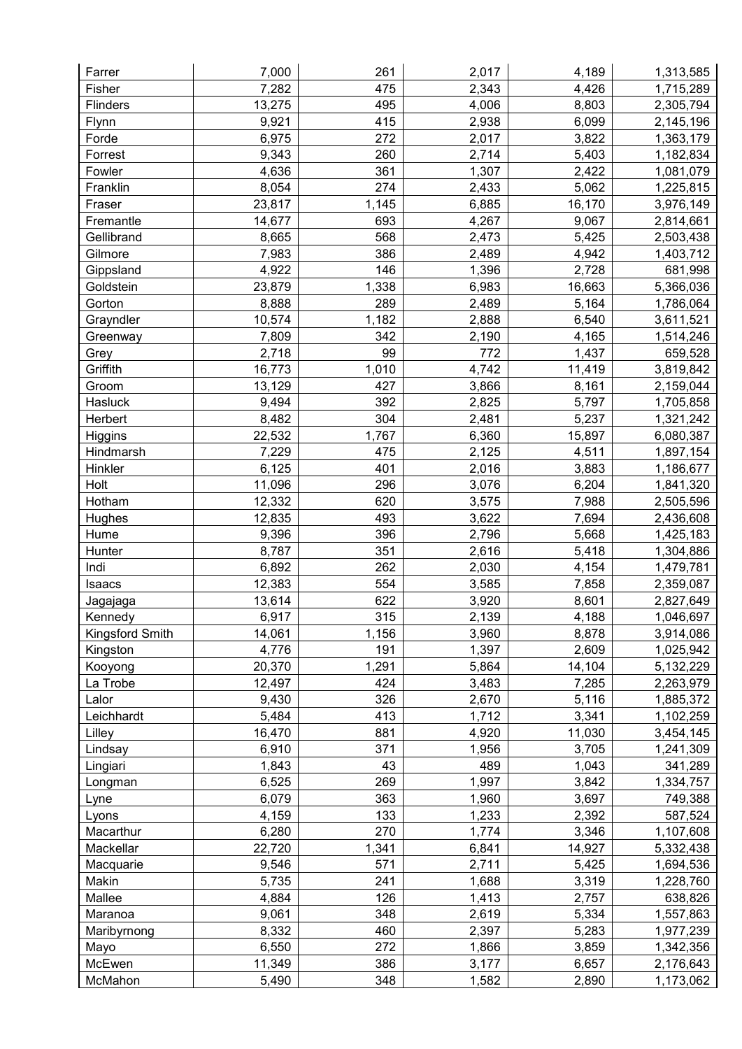| Farrer          | 7,000           | 261   | 2,017 | 4,189  | 1,313,585            |
|-----------------|-----------------|-------|-------|--------|----------------------|
| Fisher          | 7,282           | 475   | 2,343 | 4,426  | 1,715,289            |
| Flinders        | 13,275          | 495   | 4,006 | 8,803  | 2,305,794            |
| Flynn           | 9,921           | 415   | 2,938 | 6,099  | 2,145,196            |
| Forde           | 6,975           | 272   | 2,017 | 3,822  | 1,363,179            |
| Forrest         | 9,343           | 260   | 2,714 | 5,403  | 1,182,834            |
| Fowler          | 4,636           | 361   | 1,307 | 2,422  | 1,081,079            |
| Franklin        | 8,054           | 274   | 2,433 | 5,062  | 1,225,815            |
| Fraser          | 23,817          | 1,145 | 6,885 | 16,170 | 3,976,149            |
| Fremantle       | 14,677          | 693   | 4,267 | 9,067  | 2,814,661            |
| Gellibrand      | 8,665           | 568   | 2,473 | 5,425  | 2,503,438            |
| Gilmore         | 7,983           | 386   | 2,489 | 4,942  | 1,403,712            |
| Gippsland       | 4,922           | 146   | 1,396 | 2,728  | 681,998              |
| Goldstein       | 23,879          | 1,338 | 6,983 | 16,663 | 5,366,036            |
| Gorton          | 8,888           | 289   | 2,489 | 5,164  | 1,786,064            |
| Grayndler       | 10,574          | 1,182 | 2,888 | 6,540  | 3,611,521            |
| Greenway        | 7,809           | 342   | 2,190 | 4,165  | 1,514,246            |
| Grey            | 2,718           | 99    | 772   | 1,437  | 659,528              |
| Griffith        | 16,773          | 1,010 | 4,742 | 11,419 | 3,819,842            |
| Groom           | 13,129          | 427   | 3,866 | 8,161  | 2,159,044            |
| Hasluck         | 9,494           | 392   | 2,825 | 5,797  | 1,705,858            |
| Herbert         | 8,482           | 304   | 2,481 | 5,237  | 1,321,242            |
| Higgins         | 22,532          | 1,767 | 6,360 | 15,897 | 6,080,387            |
| Hindmarsh       | 7,229           | 475   | 2,125 | 4,511  | 1,897,154            |
| Hinkler         | 6,125           | 401   | 2,016 | 3,883  | 1,186,677            |
| Holt            | 11,096          | 296   | 3,076 | 6,204  | 1,841,320            |
| Hotham          | 12,332          | 620   | 3,575 | 7,988  | 2,505,596            |
| Hughes          | 12,835          | 493   | 3,622 | 7,694  | 2,436,608            |
| Hume            | 9,396           | 396   | 2,796 | 5,668  | 1,425,183            |
| Hunter          | 8,787           | 351   | 2,616 | 5,418  | 1,304,886            |
| Indi            | 6,892           | 262   | 2,030 | 4,154  | 1,479,781            |
| Isaacs          | 12,383          | 554   | 3,585 | 7,858  | 2,359,087            |
| Jagajaga        | 13,614          | 622   | 3,920 | 8,601  | 2,827,649            |
| Kennedy         | 6,917           | 315   | 2,139 | 4,188  | 1,046,697            |
| Kingsford Smith | 14,061          | 1,156 | 3,960 | 8,878  | 3,914,086            |
| Kingston        | 4,776           | 191   | 1,397 | 2,609  | 1,025,942            |
| Kooyong         | 20,370          | 1,291 | 5,864 | 14,104 | 5,132,229            |
| La Trobe        | 12,497          | 424   | 3,483 | 7,285  | 2,263,979            |
| Lalor           | 9,430           | 326   | 2,670 | 5,116  | 1,885,372            |
| Leichhardt      | 5,484           | 413   | 1,712 | 3,341  | 1,102,259            |
| Lilley          | 16,470          | 881   | 4,920 | 11,030 | 3,454,145            |
| Lindsay         | 6,910           | 371   | 1,956 | 3,705  | 1,241,309            |
| Lingiari        | 1,843           | 43    | 489   | 1,043  | 341,289              |
| Longman         | 6,525           | 269   | 1,997 | 3,842  | 1,334,757            |
| Lyne            | 6,079           | 363   | 1,960 | 3,697  | 749,388              |
| Lyons           | 4,159           | 133   | 1,233 | 2,392  | 587,524              |
| Macarthur       | 6,280           | 270   | 1,774 | 3,346  | 1,107,608            |
| Mackellar       | 22,720          | 1,341 | 6,841 | 14,927 | 5,332,438            |
| Macquarie       | 9,546           | 571   | 2,711 | 5,425  | 1,694,536            |
| Makin           | 5,735           | 241   | 1,688 | 3,319  |                      |
| Mallee          | 4,884           | 126   | 1,413 | 2,757  | 1,228,760<br>638,826 |
| Maranoa         | 9,061           | 348   |       | 5,334  |                      |
|                 |                 | 460   | 2,619 | 5,283  | 1,557,863            |
| Maribyrnong     | 8,332           | 272   | 2,397 |        | 1,977,239            |
| Mayo            | 6,550<br>11,349 | 386   | 1,866 | 3,859  | 1,342,356            |
| McEwen          |                 |       | 3,177 | 6,657  | 2,176,643            |
| McMahon         | 5,490           | 348   | 1,582 | 2,890  | 1,173,062            |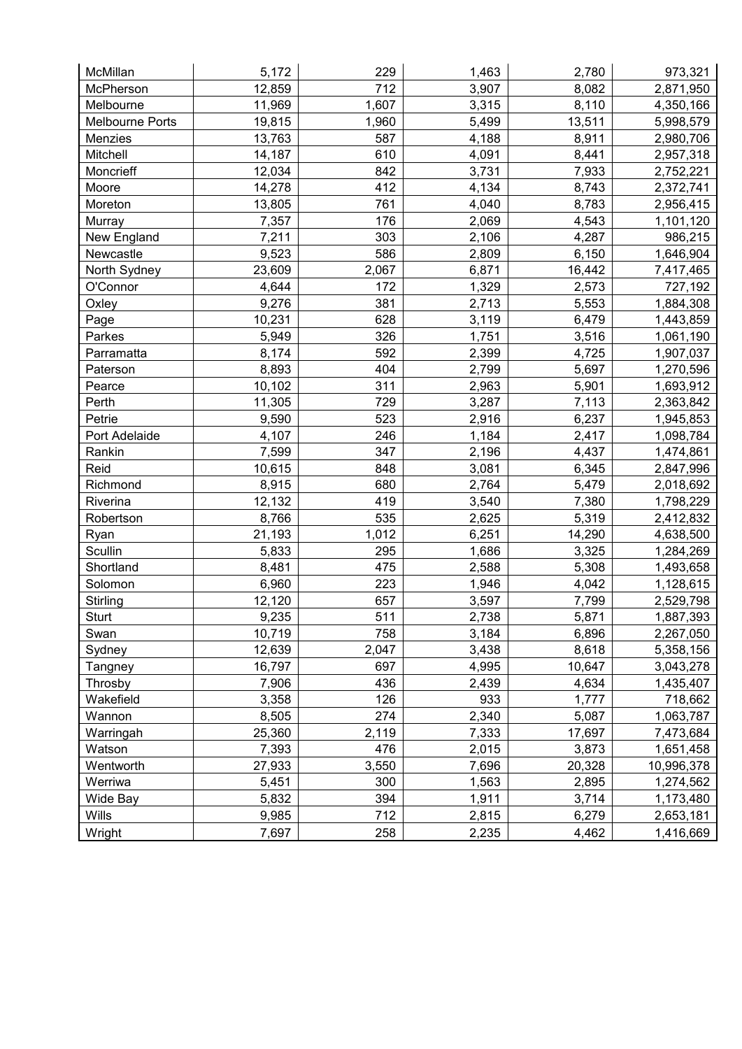| McMillan        | 5,172  | 229   | 1,463 | 2,780  | 973,321    |
|-----------------|--------|-------|-------|--------|------------|
| McPherson       | 12,859 | 712   | 3,907 | 8,082  | 2,871,950  |
| Melbourne       | 11,969 | 1,607 | 3,315 | 8,110  | 4,350,166  |
| Melbourne Ports | 19,815 | 1,960 | 5,499 | 13,511 | 5,998,579  |
| Menzies         | 13,763 | 587   | 4,188 | 8,911  | 2,980,706  |
| Mitchell        | 14,187 | 610   | 4,091 | 8,441  | 2,957,318  |
| Moncrieff       | 12,034 | 842   | 3,731 | 7,933  | 2,752,221  |
| Moore           | 14,278 | 412   | 4,134 | 8,743  | 2,372,741  |
| Moreton         | 13,805 | 761   | 4,040 | 8,783  | 2,956,415  |
| Murray          | 7,357  | 176   | 2,069 | 4,543  | 1,101,120  |
| New England     | 7,211  | 303   | 2,106 | 4,287  | 986,215    |
| Newcastle       | 9,523  | 586   | 2,809 | 6,150  | 1,646,904  |
| North Sydney    | 23,609 | 2,067 | 6,871 | 16,442 | 7,417,465  |
| O'Connor        | 4,644  | 172   | 1,329 | 2,573  | 727,192    |
| Oxley           | 9,276  | 381   | 2,713 | 5,553  | 1,884,308  |
| Page            | 10,231 | 628   | 3,119 | 6,479  | 1,443,859  |
| Parkes          | 5,949  | 326   | 1,751 | 3,516  | 1,061,190  |
| Parramatta      | 8,174  | 592   | 2,399 | 4,725  | 1,907,037  |
| Paterson        | 8,893  | 404   | 2,799 | 5,697  | 1,270,596  |
| Pearce          | 10,102 | 311   | 2,963 | 5,901  | 1,693,912  |
| Perth           | 11,305 | 729   | 3,287 | 7,113  | 2,363,842  |
| Petrie          | 9,590  | 523   | 2,916 | 6,237  | 1,945,853  |
| Port Adelaide   | 4,107  | 246   | 1,184 | 2,417  | 1,098,784  |
| Rankin          | 7,599  | 347   | 2,196 | 4,437  | 1,474,861  |
| Reid            | 10,615 | 848   | 3,081 | 6,345  | 2,847,996  |
| Richmond        | 8,915  | 680   | 2,764 | 5,479  | 2,018,692  |
| Riverina        | 12,132 | 419   | 3,540 | 7,380  | 1,798,229  |
| Robertson       | 8,766  | 535   | 2,625 | 5,319  | 2,412,832  |
| Ryan            | 21,193 | 1,012 | 6,251 | 14,290 | 4,638,500  |
| Scullin         | 5,833  | 295   | 1,686 | 3,325  | 1,284,269  |
| Shortland       | 8,481  | 475   | 2,588 | 5,308  | 1,493,658  |
| Solomon         | 6,960  | 223   | 1,946 | 4,042  | 1,128,615  |
| Stirling        | 12,120 | 657   | 3,597 | 7,799  | 2,529,798  |
| <b>Sturt</b>    | 9,235  | 511   | 2.738 | 5,871  | 1,887,393  |
| Swan            | 10,719 | 758   | 3,184 | 6,896  | 2,267,050  |
| Sydney          | 12,639 | 2,047 | 3,438 | 8,618  | 5,358,156  |
| Tangney         | 16,797 | 697   | 4,995 | 10,647 | 3,043,278  |
| Throsby         | 7,906  | 436   | 2,439 | 4,634  | 1,435,407  |
| Wakefield       | 3,358  | 126   | 933   | 1,777  | 718,662    |
| Wannon          | 8,505  | 274   | 2,340 | 5,087  | 1,063,787  |
| Warringah       | 25,360 | 2,119 | 7,333 | 17,697 | 7,473,684  |
| Watson          | 7,393  | 476   | 2,015 | 3,873  | 1,651,458  |
| Wentworth       | 27,933 | 3,550 | 7,696 | 20,328 | 10,996,378 |
| Werriwa         | 5,451  | 300   | 1,563 | 2,895  | 1,274,562  |
| Wide Bay        | 5,832  | 394   | 1,911 | 3,714  | 1,173,480  |
| Wills           | 9,985  | 712   | 2,815 | 6,279  | 2,653,181  |
| Wright          | 7,697  | 258   | 2,235 | 4,462  | 1,416,669  |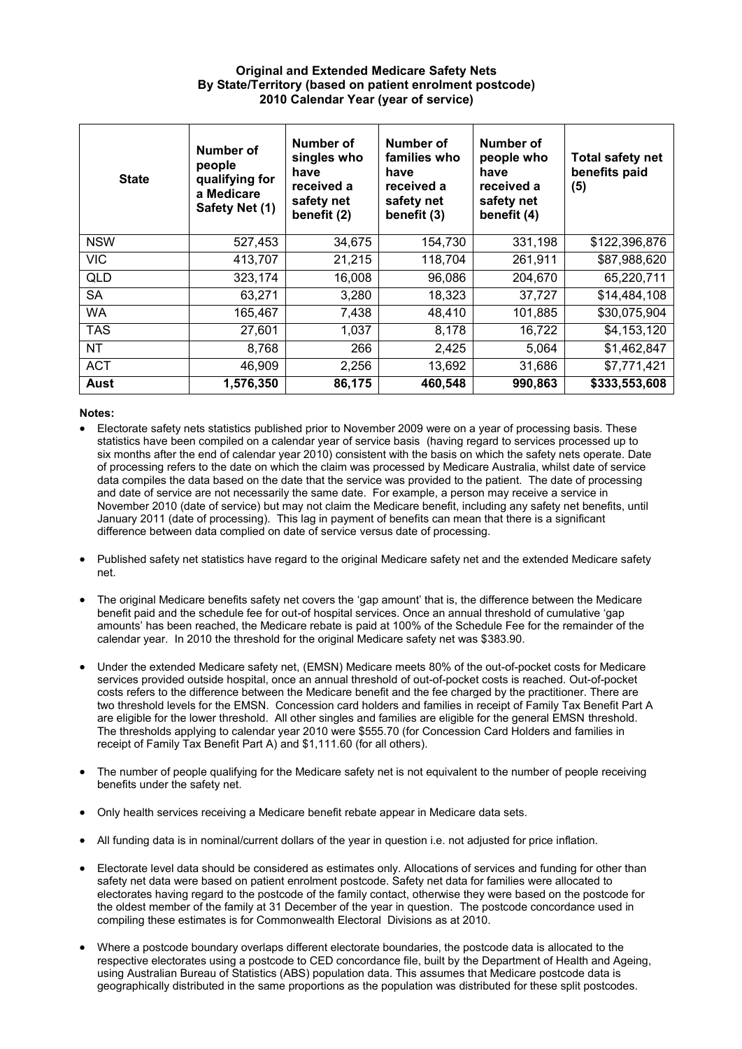## **Original and Extended Medicare Safety Nets By State/Territory (based on patient enrolment postcode) 2010 Calendar Year (year of service)**

| <b>State</b> | Number of<br>people<br>qualifying for<br>a Medicare<br>Safety Net (1) | Number of<br>singles who<br>have<br>received a<br>safety net<br>benefit (2) | Number of<br>families who<br>have<br>received a<br>safety net<br>benefit (3) | Number of<br>people who<br>have<br>received a<br>safety net<br>benefit (4) | <b>Total safety net</b><br>benefits paid<br>(5) |
|--------------|-----------------------------------------------------------------------|-----------------------------------------------------------------------------|------------------------------------------------------------------------------|----------------------------------------------------------------------------|-------------------------------------------------|
| <b>NSW</b>   | 527,453                                                               | 34,675                                                                      | 154,730                                                                      | 331,198                                                                    | \$122,396,876                                   |
| <b>VIC</b>   | 413,707                                                               | 21,215                                                                      | 118,704                                                                      | 261,911                                                                    | \$87,988,620                                    |
| <b>QLD</b>   | 323,174                                                               | 16,008                                                                      | 96,086                                                                       | 204,670                                                                    | 65,220,711                                      |
| <b>SA</b>    | 63,271                                                                | 3,280                                                                       | 18,323                                                                       | 37,727                                                                     | \$14,484,108                                    |
| <b>WA</b>    | 165,467                                                               | 7,438                                                                       | 48,410                                                                       | 101,885                                                                    | \$30,075,904                                    |
| <b>TAS</b>   | 27,601                                                                | 1,037                                                                       | 8,178                                                                        | 16,722                                                                     | \$4,153,120                                     |
| <b>NT</b>    | 8,768                                                                 | 266                                                                         | 2,425                                                                        | 5,064                                                                      | \$1,462,847                                     |
| <b>ACT</b>   | 46,909                                                                | 2,256                                                                       | 13,692                                                                       | 31,686                                                                     | \$7,771,421                                     |
| Aust         | 1,576,350                                                             | 86,175                                                                      | 460,548                                                                      | 990,863                                                                    | \$333,553,608                                   |

## **Notes:**

- Electorate safety nets statistics published prior to November 2009 were on a year of processing basis. These statistics have been compiled on a calendar year of service basis (having regard to services processed up to six months after the end of calendar year 2010) consistent with the basis on which the safety nets operate. Date of processing refers to the date on which the claim was processed by Medicare Australia, whilst date of service data compiles the data based on the date that the service was provided to the patient. The date of processing and date of service are not necessarily the same date. For example, a person may receive a service in November 2010 (date of service) but may not claim the Medicare benefit, including any safety net benefits, until January 2011 (date of processing). This lag in payment of benefits can mean that there is a significant difference between data complied on date of service versus date of processing.
- Published safety net statistics have regard to the original Medicare safety net and the extended Medicare safety net.
- The original Medicare benefits safety net covers the 'gap amount' that is, the difference between the Medicare benefit paid and the schedule fee for out-of hospital services. Once an annual threshold of cumulative 'gap amounts' has been reached, the Medicare rebate is paid at 100% of the Schedule Fee for the remainder of the calendar year. In 2010 the threshold for the original Medicare safety net was \$383.90.
- Under the extended Medicare safety net, (EMSN) Medicare meets 80% of the out-of-pocket costs for Medicare services provided outside hospital, once an annual threshold of out-of-pocket costs is reached. Out-of-pocket costs refers to the difference between the Medicare benefit and the fee charged by the practitioner. There are two threshold levels for the EMSN. Concession card holders and families in receipt of Family Tax Benefit Part A are eligible for the lower threshold. All other singles and families are eligible for the general EMSN threshold. The thresholds applying to calendar year 2010 were \$555.70 (for Concession Card Holders and families in receipt of Family Tax Benefit Part A) and \$1,111.60 (for all others).
- The number of people qualifying for the Medicare safety net is not equivalent to the number of people receiving benefits under the safety net.
- Only health services receiving a Medicare benefit rebate appear in Medicare data sets.
- All funding data is in nominal/current dollars of the year in question i.e. not adjusted for price inflation.
- Electorate level data should be considered as estimates only. Allocations of services and funding for other than safety net data were based on patient enrolment postcode. Safety net data for families were allocated to electorates having regard to the postcode of the family contact, otherwise they were based on the postcode for the oldest member of the family at 31 December of the year in question. The postcode concordance used in compiling these estimates is for Commonwealth Electoral Divisions as at 2010.
- Where a postcode boundary overlaps different electorate boundaries, the postcode data is allocated to the respective electorates using a postcode to CED concordance file, built by the Department of Health and Ageing, using Australian Bureau of Statistics (ABS) population data. This assumes that Medicare postcode data is geographically distributed in the same proportions as the population was distributed for these split postcodes.